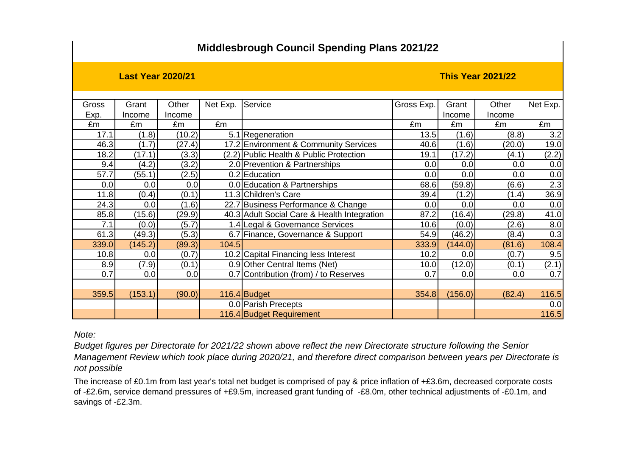## **Middlesbrough Council Spending Plans 2021/22**

**Last Year 2020/21 This Year 2021/22**

| Gross | Grant   | Other  | Net Exp. | Service                                     | Gross Exp. | Grant   | Other  | Net Exp. |
|-------|---------|--------|----------|---------------------------------------------|------------|---------|--------|----------|
| Exp.  | Income  | Income |          |                                             |            | Income  | Income |          |
| £m    | £m      | £m     | £m       |                                             | £m         | £m      | £m     | £m       |
| 17.1  | (1.8)   | (10.2) |          | 5.1 Regeneration                            | 13.5       | (1.6)   | (8.8)  | 3.2      |
| 46.3  | (1.7)   | (27.4) |          | 17.2 Environment & Community Services       | 40.6       | (1.6)   | (20.0) | 19.0     |
| 18.2  | (17.1)  | (3.3)  |          | (2.2) Public Health & Public Protection     | 19.1       | (17.2)  | (4.1)  | (2.2)    |
| 9.4   | (4.2)   | (3.2)  |          | 2.0 Prevention & Partnerships               | 0.0        | 0.0     | 0.0    | 0.0      |
| 57.7  | (55.1)  | (2.5)  |          | 0.2 Education                               | 0.0        | 0.0     | 0.0    | 0.0      |
| 0.0   | 0.0     | 0.0    |          | 0.0 Education & Partnerships                | 68.6       | (59.8)  | (6.6)  | 2.3      |
| 11.8  | (0.4)   | (0.1)  |          | 11.3 Children's Care                        | 39.4       | (1.2)   | (1.4)  | 36.9     |
| 24.3  | 0.0     | (1.6)  |          | 22.7 Business Performance & Change          | 0.0        | 0.0     | 0.0    | 0.0      |
| 85.8  | (15.6)  | (29.9) |          | 40.3 Adult Social Care & Health Integration | 87.2       | (16.4)  | (29.8) | 41.0     |
| 7.1   | (0.0)   | (5.7)  |          | 1.4 Legal & Governance Services             | 10.6       | (0.0)   | (2.6)  | 8.0      |
| 61.3  | (49.3)  | (5.3)  |          | 6.7 Finance, Governance & Support           | 54.9       | (46.2)  | (8.4)  | 0.3      |
| 339.0 | (145.2) | (89.3) | 104.5    |                                             | 333.9      | (144.0) | (81.6) | 108.4    |
| 10.8  | 0.0     | (0.7)  |          | 10.2 Capital Financing less Interest        | 10.2       | 0.0     | (0.7)  | 9.5      |
| 8.9   | (7.9)   | (0.1)  |          | 0.9 Other Central Items (Net)               | 10.0       | (12.0)  | (0.1)  | (2.1)    |
| 0.7   | 0.0     | 0.0    |          | 0.7 Contribution (from) / to Reserves       | 0.7        | 0.0     | 0.0    | 0.7      |
|       |         |        |          |                                             |            |         |        |          |
| 359.5 | (153.1) | (90.0) |          | 116.4 Budget                                | 354.8      | (156.0) | (82.4) | 116.5    |
|       |         |        |          | 0.0 Parish Precepts                         |            |         |        | 0.0      |
|       |         |        |          | 116.4 Budget Requirement                    |            |         |        | 116.5    |

*Note:*

*Budget figures per Directorate for 2021/22 shown above reflect the new Directorate structure following the Senior Management Review which took place during 2020/21, and therefore direct comparison between years per Directorate is not possible*

The increase of £0.1m from last year's total net budget is comprised of pay & price inflation of +£3.6m, decreased corporate costs of -£2.6m, service demand pressures of +£9.5m, increased grant funding of -£8.0m, other technical adjustments of -£0.1m, and savings of -£2.3m.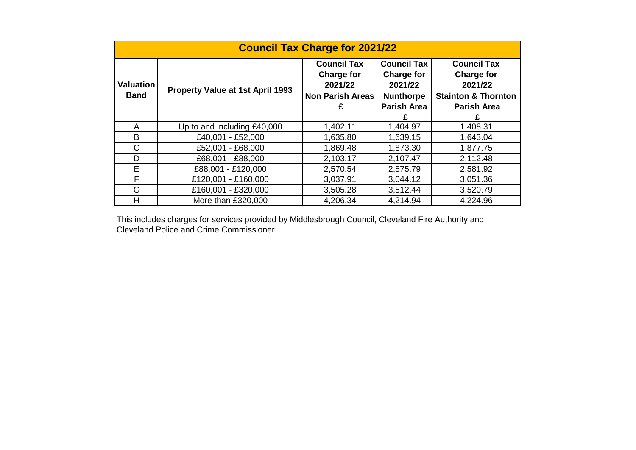| <b>Council Tax Charge for 2021/22</b> |                                  |                                          |                    |                                                                |  |
|---------------------------------------|----------------------------------|------------------------------------------|--------------------|----------------------------------------------------------------|--|
| <b>Valuation</b><br><b>Band</b>       |                                  | <b>Council Tax</b><br><b>Council Tax</b> |                    | <b>Council Tax</b>                                             |  |
|                                       |                                  | <b>Charge for</b>                        | <b>Charge for</b>  | <b>Charge for</b><br>2021/22<br><b>Stainton &amp; Thornton</b> |  |
|                                       | Property Value at 1st April 1993 | 2021/22                                  | 2021/22            |                                                                |  |
|                                       |                                  | <b>Non Parish Areas</b>                  | <b>Nunthorpe</b>   |                                                                |  |
|                                       |                                  | £                                        | <b>Parish Area</b> | <b>Parish Area</b>                                             |  |
|                                       |                                  |                                          |                    |                                                                |  |
| A                                     | Up to and including £40,000      | 1,402.11                                 | 1,404.97           | 1,408.31                                                       |  |
| B                                     | £40,001 - £52,000                | 1,635.80                                 | 1,639.15           | 1,643.04                                                       |  |
| C                                     | £52,001 - £68,000                | 1,869.48                                 | 1,873.30           | 1,877.75                                                       |  |
| D                                     | £68,001 - £88,000                | 2,103.17                                 | 2,107.47           | 2,112.48                                                       |  |
| E                                     | £88,001 - £120,000               | 2,570.54                                 | 2,575.79           | 2,581.92                                                       |  |
| F                                     | £120,001 - £160,000              | 3,037.91                                 | 3,044.12           | 3,051.36                                                       |  |
| G                                     | £160,001 - £320,000              | 3,505.28                                 | 3,512.44           | 3,520.79                                                       |  |
| H                                     | More than £320,000               | 4,206.34                                 | 4,214.94           | 4,224.96                                                       |  |

This includes charges for services provided by Middlesbrough Council, Cleveland Fire Authority and Cleveland Police and Crime Commissioner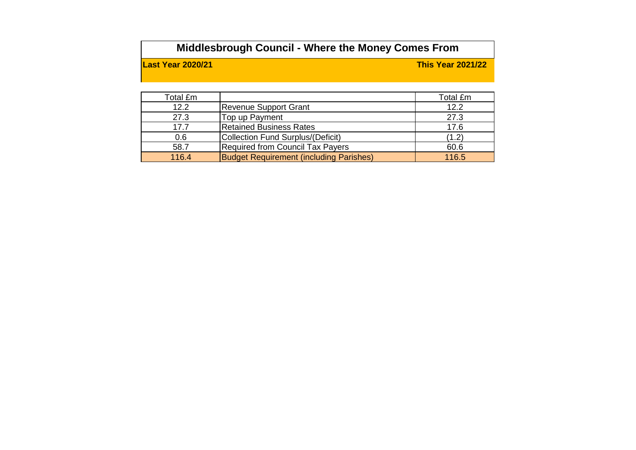## **Middlesbrough Council - Where the Money Comes From**

**Last Year 2020/21 This Year 2021/22**

| Total £m |                                                | Total £m |
|----------|------------------------------------------------|----------|
| 12.2     | Revenue Support Grant                          | 12.2     |
| 27.3     | Top up Payment                                 | 27.3     |
| 17.7     | <b>Retained Business Rates</b>                 | 17.6     |
| 0.6      | Collection Fund Surplus/(Deficit)              | (1.2)    |
| 58.7     | <b>Required from Council Tax Payers</b>        | 60.6     |
| 116.4    | <b>Budget Requirement (including Parishes)</b> | 116.5    |